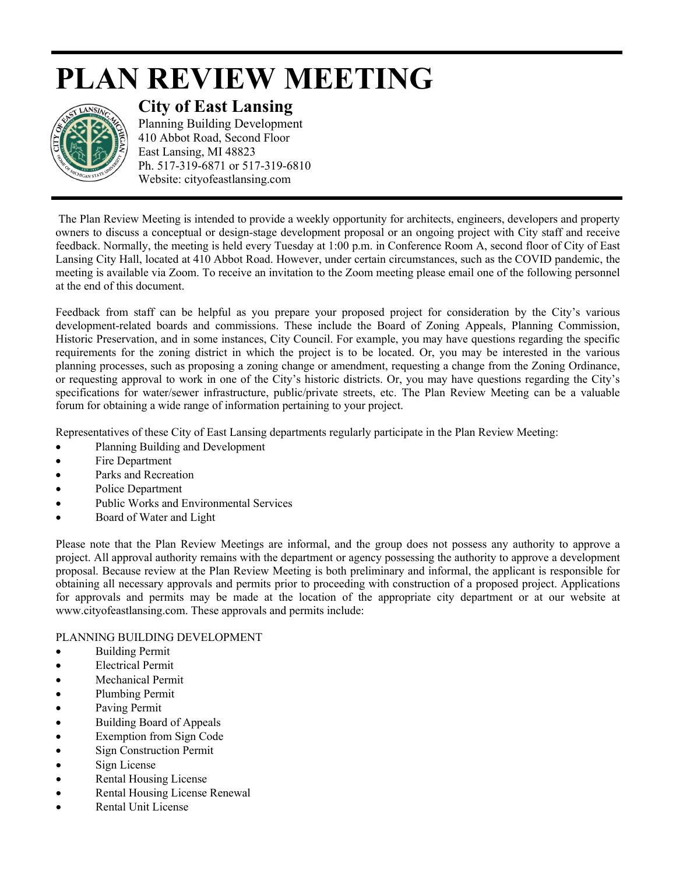## **PLAN REVIEW MEETING**



**City of East Lansing** 

Planning Building Development 410 Abbot Road, Second Floor East Lansing, MI 48823 Ph. 517-319-6871 or 517-319-6810 Website: cityofeastlansing.com

The Plan Review Meeting is intended to provide a weekly opportunity for architects, engineers, developers and property owners to discuss a conceptual or design-stage development proposal or an ongoing project with City staff and receive feedback. Normally, the meeting is held every Tuesday at 1:00 p.m. in Conference Room A, second floor of City of East Lansing City Hall, located at 410 Abbot Road. However, under certain circumstances, such as the COVID pandemic, the meeting is available via Zoom. To receive an invitation to the Zoom meeting please email one of the following personnel at the end of this document.

Feedback from staff can be helpful as you prepare your proposed project for consideration by the City's various development-related boards and commissions. These include the Board of Zoning Appeals, Planning Commission, Historic Preservation, and in some instances, City Council. For example, you may have questions regarding the specific requirements for the zoning district in which the project is to be located. Or, you may be interested in the various planning processes, such as proposing a zoning change or amendment, requesting a change from the Zoning Ordinance, or requesting approval to work in one of the City's historic districts. Or, you may have questions regarding the City's specifications for water/sewer infrastructure, public/private streets, etc. The Plan Review Meeting can be a valuable forum for obtaining a wide range of information pertaining to your project.

Representatives of these City of East Lansing departments regularly participate in the Plan Review Meeting:

- Planning Building and Development
- Fire Department
- Parks and Recreation
- Police Department
- Public Works and Environmental Services
- Board of Water and Light

Please note that the Plan Review Meetings are informal, and the group does not possess any authority to approve a project. All approval authority remains with the department or agency possessing the authority to approve a development proposal. Because review at the Plan Review Meeting is both preliminary and informal, the applicant is responsible for obtaining all necessary approvals and permits prior to proceeding with construction of a proposed project. Applications for approvals and permits may be made at the location of the appropriate city department or at our website at www.cityofeastlansing.com. These approvals and permits include:

## PLANNING BUILDING DEVELOPMENT

- **Building Permit**
- Electrical Permit
- Mechanical Permit
- Plumbing Permit
- Paving Permit
- Building Board of Appeals
- Exemption from Sign Code
- **Sign Construction Permit**
- Sign License
- Rental Housing License
- Rental Housing License Renewal
- Rental Unit License